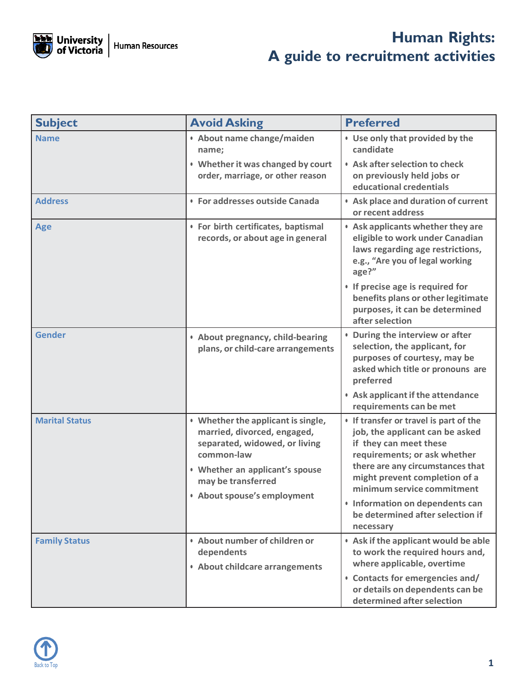

## **Human Rights: A guide to recruitment activities**

| <b>Subject</b>        | <b>Avoid Asking</b>                                                                                                                                                                                      | <b>Preferred</b>                                                                                                                                                                                                                                                                                              |
|-----------------------|----------------------------------------------------------------------------------------------------------------------------------------------------------------------------------------------------------|---------------------------------------------------------------------------------------------------------------------------------------------------------------------------------------------------------------------------------------------------------------------------------------------------------------|
| <b>Name</b>           | · About name change/maiden<br>name;                                                                                                                                                                      | • Use only that provided by the<br>candidate                                                                                                                                                                                                                                                                  |
|                       | • Whether it was changed by court<br>order, marriage, or other reason                                                                                                                                    | • Ask after selection to check<br>on previously held jobs or<br>educational credentials                                                                                                                                                                                                                       |
| <b>Address</b>        | • For addresses outside Canada                                                                                                                                                                           | • Ask place and duration of current<br>or recent address                                                                                                                                                                                                                                                      |
| <b>Age</b>            | • For birth certificates, baptismal<br>records, or about age in general                                                                                                                                  | • Ask applicants whether they are<br>eligible to work under Canadian<br>laws regarding age restrictions,<br>e.g., "Are you of legal working<br>age?"                                                                                                                                                          |
|                       |                                                                                                                                                                                                          | • If precise age is required for<br>benefits plans or other legitimate<br>purposes, it can be determined<br>after selection                                                                                                                                                                                   |
| <b>Gender</b>         | • About pregnancy, child-bearing<br>plans, or child-care arrangements                                                                                                                                    | • During the interview or after<br>selection, the applicant, for<br>purposes of courtesy, may be<br>asked which title or pronouns are<br>preferred                                                                                                                                                            |
|                       |                                                                                                                                                                                                          | • Ask applicant if the attendance<br>requirements can be met                                                                                                                                                                                                                                                  |
| <b>Marital Status</b> | • Whether the applicant is single,<br>married, divorced, engaged,<br>separated, widowed, or living<br>common-law<br>• Whether an applicant's spouse<br>may be transferred<br>• About spouse's employment | • If transfer or travel is part of the<br>job, the applicant can be asked<br>if they can meet these<br>requirements; or ask whether<br>there are any circumstances that<br>might prevent completion of a<br>minimum service commitment<br>• Information on dependents can<br>be determined after selection if |
|                       |                                                                                                                                                                                                          | necessary                                                                                                                                                                                                                                                                                                     |
| <b>Family Status</b>  | • About number of children or<br>dependents<br>• About childcare arrangements                                                                                                                            | • Ask if the applicant would be able<br>to work the required hours and,<br>where applicable, overtime                                                                                                                                                                                                         |
|                       |                                                                                                                                                                                                          | • Contacts for emergencies and/<br>or details on dependents can be<br>determined after selection                                                                                                                                                                                                              |

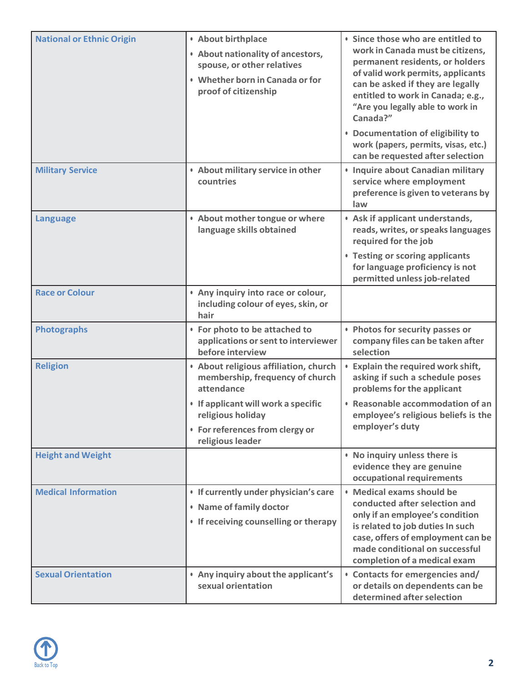| <b>National or Ethnic Origin</b> | <b>• About birthplace</b><br>• About nationality of ancestors,<br>spouse, or other relatives<br>• Whether born in Canada or for<br>proof of citizenship | • Since those who are entitled to<br>work in Canada must be citizens,<br>permanent residents, or holders<br>of valid work permits, applicants<br>can be asked if they are legally<br>entitled to work in Canada; e.g.,<br>"Are you legally able to work in<br>Canada?"<br>• Documentation of eligibility to<br>work (papers, permits, visas, etc.)<br>can be requested after selection |
|----------------------------------|---------------------------------------------------------------------------------------------------------------------------------------------------------|----------------------------------------------------------------------------------------------------------------------------------------------------------------------------------------------------------------------------------------------------------------------------------------------------------------------------------------------------------------------------------------|
| <b>Military Service</b>          | • About military service in other<br>countries                                                                                                          | • Inquire about Canadian military<br>service where employment<br>preference is given to veterans by<br>law                                                                                                                                                                                                                                                                             |
| <b>Language</b>                  | • About mother tongue or where<br>language skills obtained                                                                                              | • Ask if applicant understands,<br>reads, writes, or speaks languages<br>required for the job<br>• Testing or scoring applicants<br>for language proficiency is not                                                                                                                                                                                                                    |
| <b>Race or Colour</b>            | . Any inquiry into race or colour,<br>including colour of eyes, skin, or<br>hair                                                                        | permitted unless job-related                                                                                                                                                                                                                                                                                                                                                           |
| <b>Photographs</b>               | • For photo to be attached to<br>applications or sent to interviewer<br>before interview                                                                | • Photos for security passes or<br>company files can be taken after<br>selection                                                                                                                                                                                                                                                                                                       |
| <b>Religion</b>                  | • About religious affiliation, church<br>membership, frequency of church<br>attendance                                                                  | <b>Explain the required work shift,</b><br>asking if such a schedule poses<br>problems for the applicant                                                                                                                                                                                                                                                                               |
|                                  | • If applicant will work a specific<br>religious holiday<br>• For references from clergy or<br>religious leader                                         | • Reasonable accommodation of an<br>employee's religious beliefs is the<br>employer's duty                                                                                                                                                                                                                                                                                             |
| <b>Height and Weight</b>         |                                                                                                                                                         | . No inquiry unless there is<br>evidence they are genuine<br>occupational requirements                                                                                                                                                                                                                                                                                                 |
| <b>Medical Information</b>       | • If currently under physician's care<br>• Name of family doctor<br>• If receiving counselling or therapy                                               | • Medical exams should be<br>conducted after selection and<br>only if an employee's condition<br>is related to job duties In such<br>case, offers of employment can be<br>made conditional on successful<br>completion of a medical exam                                                                                                                                               |
| <b>Sexual Orientation</b>        | . Any inquiry about the applicant's<br>sexual orientation                                                                                               | • Contacts for emergencies and/<br>or details on dependents can be<br>determined after selection                                                                                                                                                                                                                                                                                       |